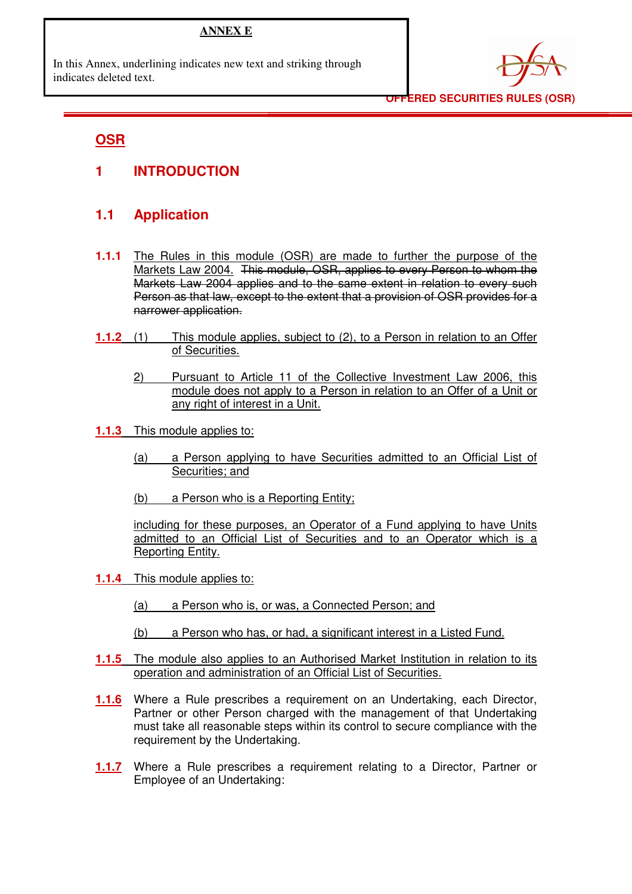### **ANNEX E**

In this Annex, underlining indicates new text and striking through indicates deleted text.



**OFFERED SECURITIES RULES (OSR)** 

## **OSR**

**1 INTRODUCTION** 

# **1.1 Application**

- **1.1.1** The Rules in this module (OSR) are made to further the purpose of the Markets Law 2004. This module, OSR, applies to every Person to whom the Markets Law 2004 applies and to the same extent in relation to every such Person as that law, except to the extent that a provision of OSR provides for a narrower application.
- **1.1.2** (1) This module applies, subject to (2), to a Person in relation to an Offer of Securities.
	- 2) Pursuant to Article 11 of the Collective Investment Law 2006, this module does not apply to a Person in relation to an Offer of a Unit or any right of interest in a Unit.
- **1.1.3** This module applies to:
	- (a) a Person applying to have Securities admitted to an Official List of Securities; and
	- (b) a Person who is a Reporting Entity;

including for these purposes, an Operator of a Fund applying to have Units admitted to an Official List of Securities and to an Operator which is a Reporting Entity.

- **1.1.4** This module applies to:
	- (a) a Person who is, or was, a Connected Person; and
	- (b) a Person who has, or had, a significant interest in a Listed Fund.
- **1.1.5** The module also applies to an Authorised Market Institution in relation to its operation and administration of an Official List of Securities.
- **1.1.6** Where a Rule prescribes a requirement on an Undertaking, each Director, Partner or other Person charged with the management of that Undertaking must take all reasonable steps within its control to secure compliance with the requirement by the Undertaking.
- **1.1.7** Where a Rule prescribes a requirement relating to a Director, Partner or Employee of an Undertaking: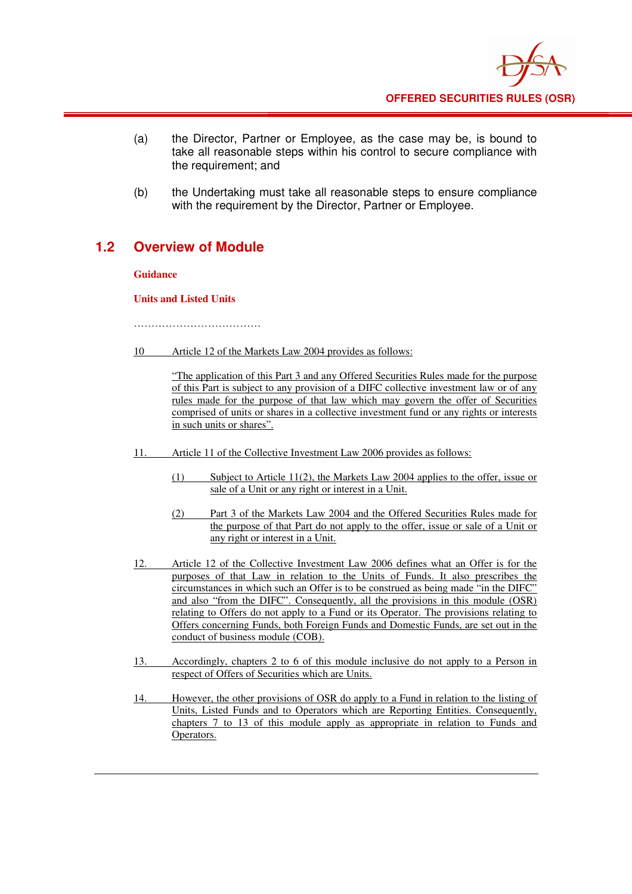

- (a) the Director, Partner or Employee, as the case may be, is bound to take all reasonable steps within his control to secure compliance with the requirement; and
- (b) the Undertaking must take all reasonable steps to ensure compliance with the requirement by the Director. Partner or Employee.

## **1.2 Overview of Module**

**Guidance**

**Units and Listed Units** 

………………………………………

10 Article 12 of the Markets Law 2004 provides as follows:

"The application of this Part 3 and any Offered Securities Rules made for the purpose of this Part is subject to any provision of a DIFC collective investment law or of any rules made for the purpose of that law which may govern the offer of Securities comprised of units or shares in a collective investment fund or any rights or interests in such units or shares".

- 11. Article 11 of the Collective Investment Law 2006 provides as follows:
	- (1) Subject to Article 11(2), the Markets Law 2004 applies to the offer, issue or sale of a Unit or any right or interest in a Unit.
	- (2) Part 3 of the Markets Law 2004 and the Offered Securities Rules made for the purpose of that Part do not apply to the offer, issue or sale of a Unit or any right or interest in a Unit.
- 12. Article 12 of the Collective Investment Law 2006 defines what an Offer is for the purposes of that Law in relation to the Units of Funds. It also prescribes the circumstances in which such an Offer is to be construed as being made "in the DIFC" and also "from the DIFC". Consequently, all the provisions in this module (OSR) relating to Offers do not apply to a Fund or its Operator. The provisions relating to Offers concerning Funds, both Foreign Funds and Domestic Funds, are set out in the conduct of business module (COB).
- 13. Accordingly, chapters 2 to 6 of this module inclusive do not apply to a Person in respect of Offers of Securities which are Units.
- 14. However, the other provisions of OSR do apply to a Fund in relation to the listing of Units, Listed Funds and to Operators which are Reporting Entities. Consequently, chapters 7 to 13 of this module apply as appropriate in relation to Funds and Operators.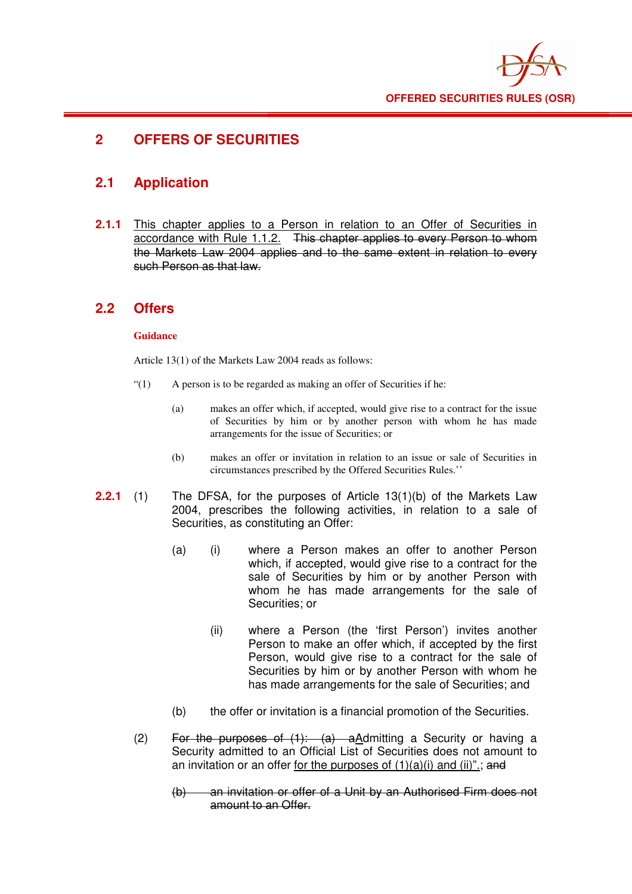

# **2 OFFERS OF SECURITIES**

## **2.1 Application**

**2.1.1** This chapter applies to a Person in relation to an Offer of Securities in accordance with Rule 1.1.2. This chapter applies to every Person to whom the Markets Law 2004 applies and to the same extent in relation to every such Person as that law.

### **2.2 Offers**

#### **Guidance**

Article 13(1) of the Markets Law 2004 reads as follows:

- "(1) A person is to be regarded as making an offer of Securities if he:
	- (a) makes an offer which, if accepted, would give rise to a contract for the issue of Securities by him or by another person with whom he has made arrangements for the issue of Securities; or
	- (b) makes an offer or invitation in relation to an issue or sale of Securities in circumstances prescribed by the Offered Securities Rules.''
- **2.2.1** (1) The DFSA, for the purposes of Article 13(1)(b) of the Markets Law 2004, prescribes the following activities, in relation to a sale of Securities, as constituting an Offer:
	- (a) (i) where a Person makes an offer to another Person which, if accepted, would give rise to a contract for the sale of Securities by him or by another Person with whom he has made arrangements for the sale of Securities; or
		- (ii) where a Person (the 'first Person') invites another Person to make an offer which, if accepted by the first Person, would give rise to a contract for the sale of Securities by him or by another Person with whom he has made arrangements for the sale of Securities; and
	- (b) the offer or invitation is a financial promotion of the Securities.
	- (2) For the purposes of  $(1)$ :  $(a)$  a Admitting a Security or having a Security admitted to an Official List of Securities does not amount to an invitation or an offer for the purposes of  $(1)(a)(i)$  and  $(ii)$ ".; and
		- (b) an invitation or offer of a Unit by an Authorised Firm does not amount to an Offer.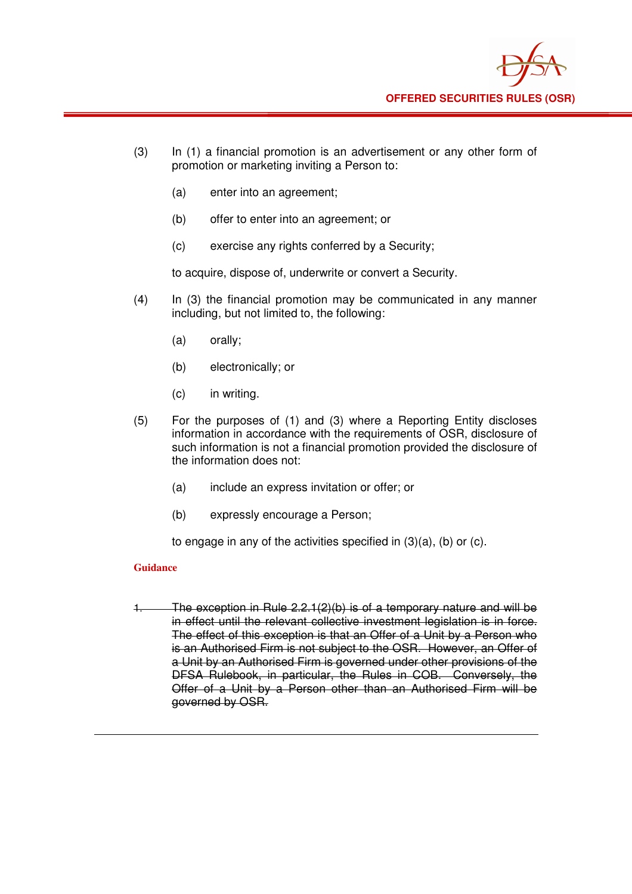

- (3) In (1) a financial promotion is an advertisement or any other form of promotion or marketing inviting a Person to:
	- (a) enter into an agreement;
	- (b) offer to enter into an agreement; or
	- (c) exercise any rights conferred by a Security;

to acquire, dispose of, underwrite or convert a Security.

- (4) In (3) the financial promotion may be communicated in any manner including, but not limited to, the following:
	- (a) orally;
	- (b) electronically; or
	- (c) in writing.
- (5) For the purposes of (1) and (3) where a Reporting Entity discloses information in accordance with the requirements of OSR, disclosure of such information is not a financial promotion provided the disclosure of the information does not:
	- (a) include an express invitation or offer; or
	- (b) expressly encourage a Person;

to engage in any of the activities specified in (3)(a), (b) or (c).

#### **Guidance**

1. The exception in Rule 2.2.1(2)(b) is of a temporary nature and will be in effect until the relevant collective investment legislation is in force. The effect of this exception is that an Offer of a Unit by a Person who is an Authorised Firm is not subject to the OSR. However, an Offer of a Unit by an Authorised Firm is governed under other provisions of the DFSA Rulebook, in particular, the Rules in COB. Conversely, the Offer of a Unit by a Person other than an Authorised Firm will be governed by OSR.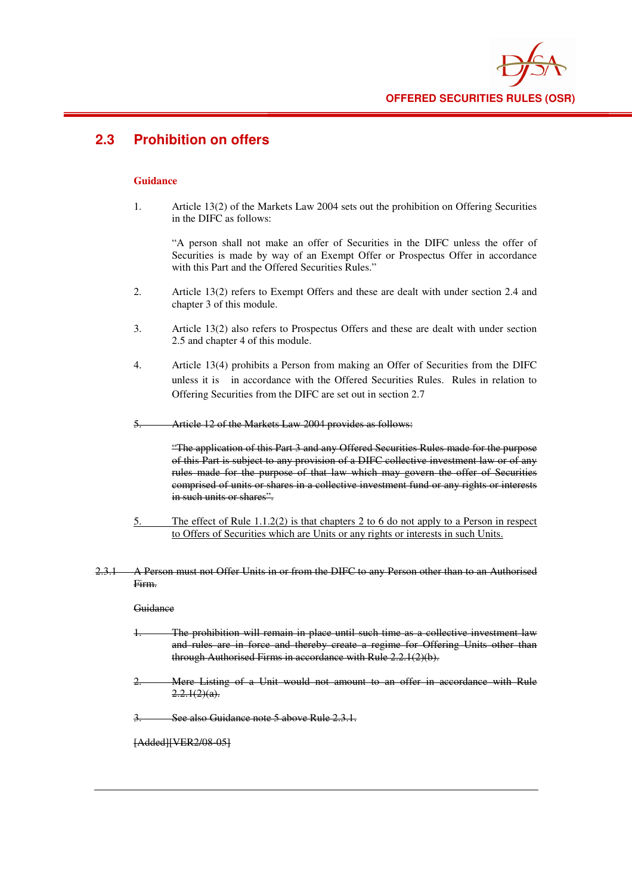

# **2.3 Prohibition on offers**

#### **Guidance**

1. Article 13(2) of the Markets Law 2004 sets out the prohibition on Offering Securities in the DIFC as follows:

"A person shall not make an offer of Securities in the DIFC unless the offer of Securities is made by way of an Exempt Offer or Prospectus Offer in accordance with this Part and the Offered Securities Rules."

- 2. Article 13(2) refers to Exempt Offers and these are dealt with under section 2.4 and chapter 3 of this module.
- 3. Article 13(2) also refers to Prospectus Offers and these are dealt with under section 2.5 and chapter 4 of this module.
- 4. Article 13(4) prohibits a Person from making an Offer of Securities from the DIFC unless it is in accordance with the Offered Securities Rules. Rules in relation to Offering Securities from the DIFC are set out in section 2.7
- 5. Article 12 of the Markets Law 2004 provides as follows:

"The application of this Part 3 and any Offered Securities Rules made for the purpose of this Part is subject to any provision of a DIFC collective investment law or of any rules made for the purpose of that law which may govern the offer of Securities comprised of units or shares in a collective investment fund or any rights or interests in such units or shares".

- 5. The effect of Rule 1.1.2(2) is that chapters 2 to 6 do not apply to a Person in respect to Offers of Securities which are Units or any rights or interests in such Units.
- 2.3.1 A Person must not Offer Units in or from the DIFC to any Person other than to an Authorised Firm.

#### **Guidance**

- 1. The prohibition will remain in place until such time as a collective investment law and rules are in force and thereby create a regime for Offering Units other than through Authorised Firms in accordance with Rule 2.2.1(2)(b).
- 2. Mere Listing of a Unit would not amount to an offer in accordance with Rule  $2.2.1(2)(a)$ .

See also Guidance note 5 above Rule 2.3.1.

[Added][VER2/08-05]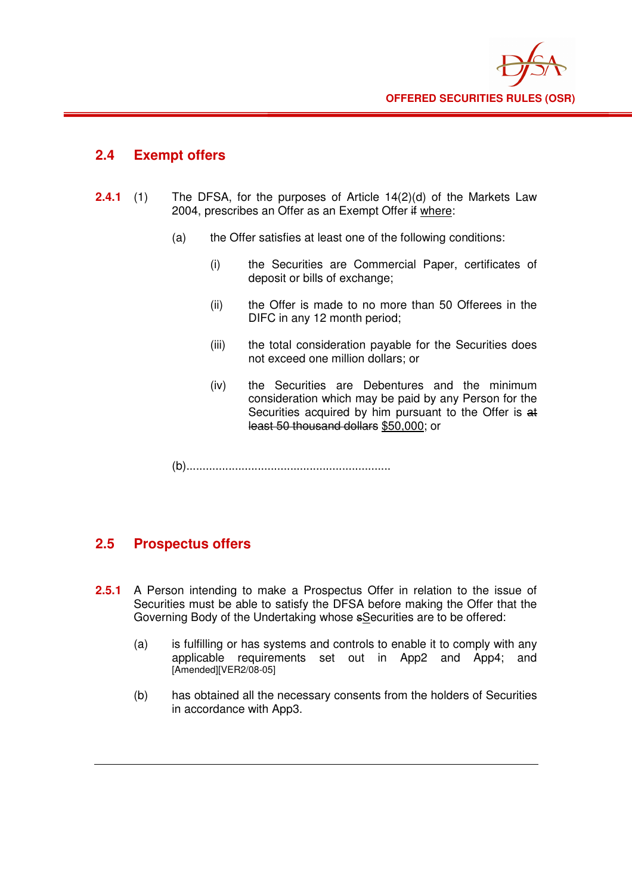

#### **2.4 Exempt offers**

- **2.4.1** (1) The DFSA, for the purposes of Article 14(2)(d) of the Markets Law 2004, prescribes an Offer as an Exempt Offer if where:
	- (a) the Offer satisfies at least one of the following conditions:
		- (i) the Securities are Commercial Paper, certificates of deposit or bills of exchange;
		- (ii) the Offer is made to no more than 50 Offerees in the DIFC in any 12 month period;
		- (iii) the total consideration payable for the Securities does not exceed one million dollars; or
		- (iv) the Securities are Debentures and the minimum consideration which may be paid by any Person for the Securities acquired by him pursuant to the Offer is at least 50 thousand dollars \$50,000; or

(b)...............................................................

### **2.5 Prospectus offers**

- **2.5.1** A Person intending to make a Prospectus Offer in relation to the issue of Securities must be able to satisfy the DFSA before making the Offer that the Governing Body of the Undertaking whose sSecurities are to be offered:
	- (a) is fulfilling or has systems and controls to enable it to comply with any applicable requirements set out in App2 and App4; and [Amended][VER2/08-05]
	- (b) has obtained all the necessary consents from the holders of Securities in accordance with App3.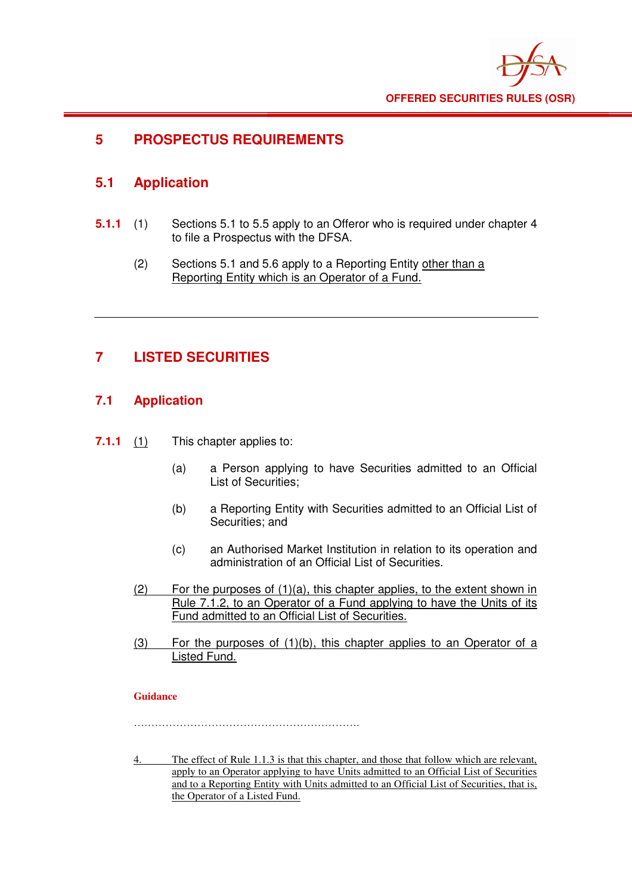

## **5 PROSPECTUS REQUIREMENTS**

## **5.1 Application**

- **5.1.1** (1) Sections 5.1 to 5.5 apply to an Offeror who is required under chapter 4 to file a Prospectus with the DFSA.
	- (2) Sections 5.1 and 5.6 apply to a Reporting Entity other than a Reporting Entity which is an Operator of a Fund.

# **7 LISTED SECURITIES**

#### **7.1 Application**

- **7.1.1** (1) This chapter applies to:
	- (a) a Person applying to have Securities admitted to an Official List of Securities;
	- (b) a Reporting Entity with Securities admitted to an Official List of Securities; and
	- (c) an Authorised Market Institution in relation to its operation and administration of an Official List of Securities.
	- $(2)$  For the purposes of  $(1)(a)$ , this chapter applies, to the extent shown in Rule 7.1.2, to an Operator of a Fund applying to have the Units of its Fund admitted to an Official List of Securities.
	- (3) For the purposes of (1)(b), this chapter applies to an Operator of a Listed Fund.

#### **Guidance**

……………………………………………………….

4. The effect of Rule 1.1.3 is that this chapter, and those that follow which are relevant, apply to an Operator applying to have Units admitted to an Official List of Securities and to a Reporting Entity with Units admitted to an Official List of Securities, that is, the Operator of a Listed Fund.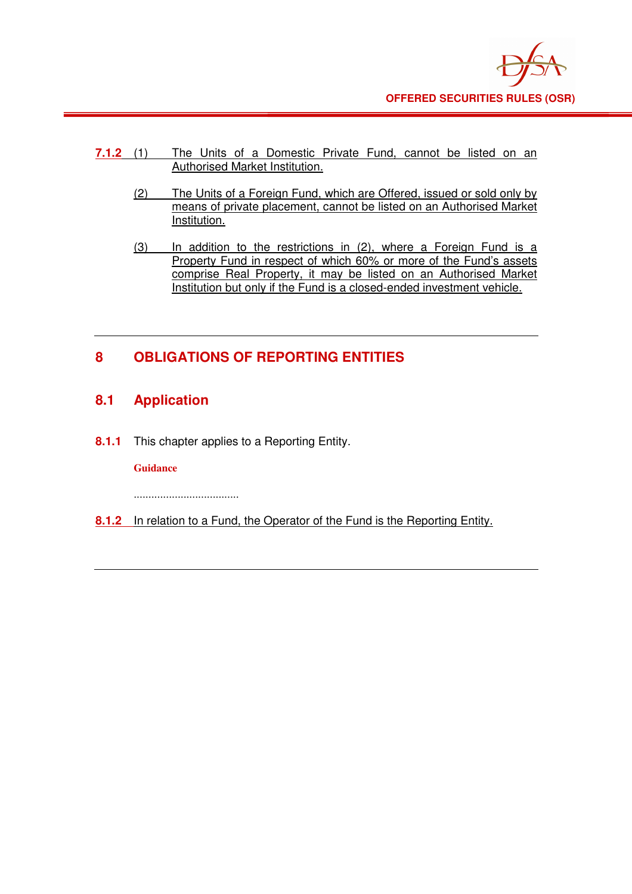

- **7.1.2** (1) The Units of a Domestic Private Fund, cannot be listed on an Authorised Market Institution.
	- (2) The Units of a Foreign Fund, which are Offered, issued or sold only by means of private placement, cannot be listed on an Authorised Market Institution.
	- (3) In addition to the restrictions in (2), where a Foreign Fund is a Property Fund in respect of which 60% or more of the Fund's assets comprise Real Property, it may be listed on an Authorised Market Institution but only if the Fund is a closed-ended investment vehicle.

# **8 OBLIGATIONS OF REPORTING ENTITIES**

## **8.1 Application**

**8.1.1** This chapter applies to a Reporting Entity.

#### **Guidance**

....................................

**8.1.2** In relation to a Fund, the Operator of the Fund is the Reporting Entity.